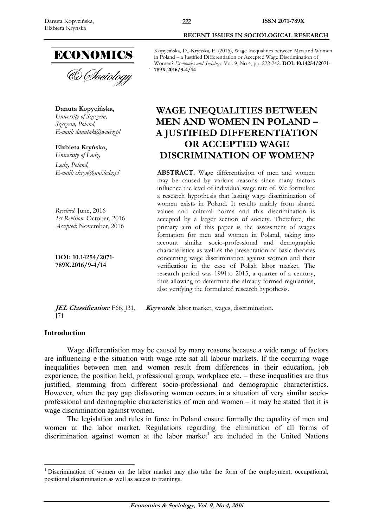

**Danuta Kopycińska,**  *University of Szczecin, Szczecin, Poland, E-mail: danutak@wneiz.pl* 

**Elzbieta Kryńska,**  *University of Lodz,* 

*Lodz, Poland,* 

*Received*: June, 2016 *1st Revision*: October, 2016 *Accepted*: November, 2016

**DOI: 10.14254/2071- 789X.2016/9-4/14**

 **RECENT ISSUES IN SOCIOLOGICAL RESEARCH** 

Kopycińska, D., Kryńska, E. (2016), Wage Inequalities between Men and Women in Poland – a Justified Differentiation or Accepted Wage Discrimination of Women? *Economics and Sociology*, Vol. 9, No 4, pp. 222-242. **DOI: 10.14254/2071- 789X.2016/9-4/14** 

# **WAGE INEQUALITIES BETWEEN MEN AND WOMEN IN POLAND – A JUSTIFIED DIFFERENTIATION OR ACCEPTED WAGE DISCRIMINATION OF WOMEN?**

*E-mail: ekryn@uni.lodz.pl* **ABSTRACT.** Wage differentiation of men and women may be caused by various reasons since many factors influence the level of individual wage rate of. We formulate a research hypothesis that lasting wage discrimination of women exists in Poland. It results mainly from shared values and cultural norms and this discrimination is accepted by a larger section of society. Therefore, the primary aim of this paper is the assessment of wages formation for men and women in Poland, taking into account similar socio-professional and demographic characteristics as well as the presentation of basic theories concerning wage discrimination against women and their verification in the case of Polish labor market. The research period was 1991to 2015, a quarter of a century, thus allowing to determine the already formed regularities, also verifying the formulated research hypothesis.

**JEL Classification***:* F66, J31, J71 **Keywords**: labor market, wages, discrimination.

## **Introduction**

<u>.</u>

Wage differentiation may be caused by many reasons because a wide range of factors are influencing e the situation with wage rate sat all labour markets. If the occurring wage inequalities between men and women result from differences in their education, job experience, the position held, professional group, workplace etc. – these inequalities are thus justified, stemming from different socio-professional and demographic characteristics. However, when the pay gap disfavoring women occurs in a situation of very similar socioprofessional and demographic characteristics of men and women – it may be stated that it is wage discrimination against women.

The legislation and rules in force in Poland ensure formally the equality of men and women at the labor market. Regulations regarding the elimination of all forms of discrimination against women at the labor market<sup>1</sup> are included in the United Nations

<sup>&</sup>lt;sup>1</sup> Discrimination of women on the labor market may also take the form of the employment, occupational, positional discrimination as well as access to trainings.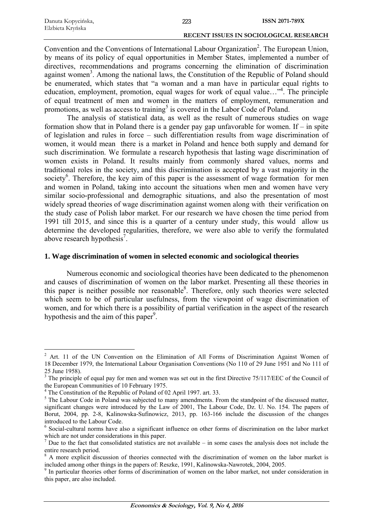| Danuta Kopycińska, | 223 | ISSN 2071-789X                                |
|--------------------|-----|-----------------------------------------------|
| Elzbieta Kryńska   |     |                                               |
|                    |     | <b>RECENT ISSUES IN SOCIOLOGICAL RESEARCH</b> |

Convention and the Conventions of International Labour Organization<sup>2</sup>. The European Union, by means of its policy of equal opportunities in Member States, implemented a number of directives, recommendations and programs concerning the elimination of discrimination against women<sup>3</sup>. Among the national laws, the Constitution of the Republic of Poland should be enumerated, which states that "a woman and a man have in particular equal rights to education, employment, promotion, equal wages for work of equal value..."<sup>4</sup>. The principle of equal treatment of men and women in the matters of employment, remuneration and promotions, as well as access to training<sup>5</sup> is covered in the Labor Code of Poland.

The analysis of statistical data, as well as the result of numerous studies on wage formation show that in Poland there is a gender pay gap unfavorable for women. If  $-$  in spite of legislation and rules in force – such differentiation results from wage discrimination of women, it would mean there is a market in Poland and hence both supply and demand for such discrimination. We formulate a research hypothesis that lasting wage discrimination of women exists in Poland. It results mainly from commonly shared values, norms and traditional roles in the society, and this discrimination is accepted by a vast majority in the society<sup>6</sup>. Therefore, the key aim of this paper is the assessment of wage formation for men and women in Poland, taking into account the situations when men and women have very similar socio-professional and demographic situations, and also the presentation of most widely spread theories of wage discrimination against women along with their verification on the study case of Polish labor market. For our research we have chosen the time period from 1991 till 2015, and since this is a quarter of a century under study, this would allow us determine the developed regularities, therefore, we were also able to verify the formulated above research hypothesis<sup>7</sup>.

# **1. Wage discrimination of women in selected economic and sociological theories**

Numerous economic and sociological theories have been dedicated to the phenomenon and causes of discrimination of women on the labor market. Presenting all these theories in this paper is neither possible nor reasonable<sup>8</sup>. Therefore, only such theories were selected which seem to be of particular usefulness, from the viewpoint of wage discrimination of women, and for which there is a possibility of partial verification in the aspect of the research hypothesis and the aim of this paper<sup>9</sup>.

1

<sup>2</sup> Art. 11 of the UN Convention on the Elimination of All Forms of Discrimination Against Women of 18 December 1979, the International Labour Organisation Conventions (No 110 of 29 June 1951 and No 111 of 25 June 1958).

<sup>&</sup>lt;sup>3</sup> The principle of equal pay for men and women was set out in the first Directive 75/117/EEC of the Council of the European Communities of 10 February 1975.

<sup>&</sup>lt;sup>4</sup> The Constitution of the Republic of Poland of 02 April 1997. art. 33.

<sup>&</sup>lt;sup>5</sup> The Labour Code in Poland was subjected to many amendments. From the standpoint of the discussed matter, significant changes were introduced by the Law of 2001, The Labour Code, Dz. U. No. 154. The papers of Borut, 2004, pp. 2-8, Kalinowska-Sufinowicz, 2013, pp. 163-166 include the discussion of the changes introduced to the Labour Code.

<sup>&</sup>lt;sup>6</sup> Social-cultural norms have also a significant influence on other forms of discrimination on the labor market which are not under considerations in this paper.

 $<sup>7</sup>$  Due to the fact that consolidated statistics are not available – in some cases the analysis does not include the</sup> entire research period.

<sup>8</sup> A more explicit discussion of theories connected with the discrimination of women on the labor market is included among other things in the papers of: Reszke, 1991, Kalinowska-Nawrotek, 2004, 2005.

<sup>&</sup>lt;sup>9</sup> In particular theories other forms of discrimination of women on the labor market, not under consideration in this paper, are also included.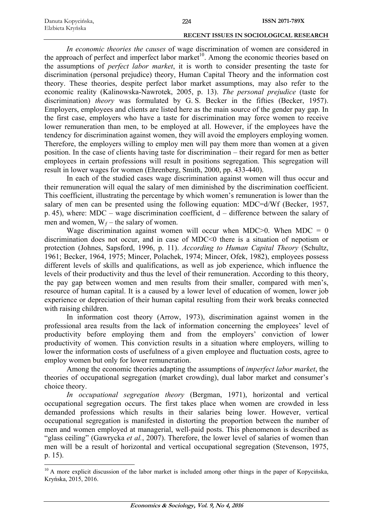| Danuta Kopycińska, | 224 | <b>ISSN 2071-789X</b>                         |
|--------------------|-----|-----------------------------------------------|
| Elzbieta Kryńska   |     |                                               |
|                    |     | <b>RECENT ISSUES IN SOCIOLOGICAL RESEARCH</b> |

*In economic theories the causes* of wage discrimination of women are considered in the approach of perfect and imperfect labor market<sup>10</sup>. Among the economic theories based on the assumptions of *perfect labor market*, it is worth to consider presenting the taste for discrimination (personal prejudice) theory, Human Capital Theory and the information cost theory. These theories, despite perfect labor market assumptions, may also refer to the economic reality (Kalinowska-Nawrotek, 2005, p. 13). *The personal prejudice* (taste for discrimination) *theory* was formulated by G. S. Becker in the fifties (Becker, 1957). Employers, employees and clients are listed here as the main source of the gender pay gap. In the first case, employers who have a taste for discrimination may force women to receive lower remuneration than men, to be employed at all. However, if the employees have the tendency for discrimination against women, they will avoid the employers employing women. Therefore, the employers willing to employ men will pay them more than women at a given position. In the case of clients having taste for discrimination – their regard for men as better employees in certain professions will result in positions segregation. This segregation will result in lower wages for women (Ehrenberg, Smith, 2000, pp. 433-440).

In each of the studied cases wage discrimination against women will thus occur and their remuneration will equal the salary of men diminished by the discrimination coefficient. This coefficient, illustrating the percentage by which women's remuneration is lower than the salary of men can be presented using the following equation: MDC=d/Wf (Becker, 1957, p. 45), where: MDC – wage discrimination coefficient, d – difference between the salary of men and women,  $W_f$  – the salary of women.

Wage discrimination against women will occur when MDC $>0$ . When MDC = 0 discrimination does not occur, and in case of MDC<0 there is a situation of nepotism or protection (Johnes, Sapsford, 1996, p. 11). *According to Human Capital Theory* (Schultz, 1961; Becker, 1964, 1975; Mincer, Polachek, 1974; Mincer, Ofek, 1982), employees possess different levels of skills and qualifications, as well as job experience, which influence the levels of their productivity and thus the level of their remuneration. According to this theory, the pay gap between women and men results from their smaller, compared with men's, resource of human capital. It is a caused by a lower level of education of women, lower job experience or depreciation of their human capital resulting from their work breaks connected with raising children.

In information cost theory (Arrow, 1973), discrimination against women in the professional area results from the lack of information concerning the employees' level of productivity before employing them and from the employers' conviction of lower productivity of women. This conviction results in a situation where employers, willing to lower the information costs of usefulness of a given employee and fluctuation costs, agree to employ women but only for lower remuneration.

Among the economic theories adapting the assumptions of *imperfect labor market*, the theories of occupational segregation (market crowding), dual labor market and consumer's choice theory.

*In occupational segregation theory* (Bergman, 1971), horizontal and vertical occupational segregation occurs. The first takes place when women are crowded in less demanded professions which results in their salaries being lower. However, vertical occupational segregation is manifested in distorting the proportion between the number of men and women employed at managerial, well-paid posts. This phenomenon is described as "glass ceiling" (Gawrycka *et al.*, 2007). Therefore, the lower level of salaries of women than men will be a result of horizontal and vertical occupational segregation (Stevenson, 1975, p. 15).

<sup>&</sup>lt;u>.</u> <sup>10</sup> A more explicit discussion of the labor market is included among other things in the paper of Kopycińska, Kryńska, 2015, 2016.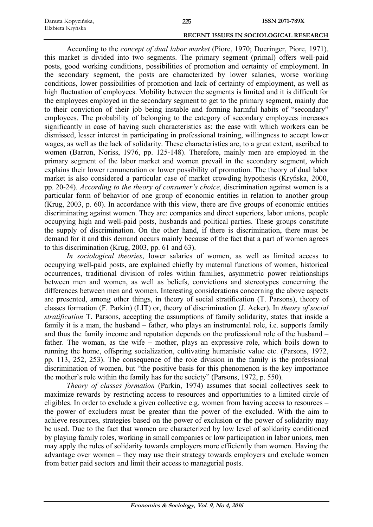According to the *concept of dual labor market* (Piore, 1970; Doeringer, Piore, 1971), this market is divided into two segments. The primary segment (primal) offers well-paid posts, good working conditions, possibilities of promotion and certainty of employment. In the secondary segment, the posts are characterized by lower salaries, worse working conditions, lower possibilities of promotion and lack of certainty of employment, as well as high fluctuation of employees. Mobility between the segments is limited and it is difficult for the employees employed in the secondary segment to get to the primary segment, mainly due to their conviction of their job being instable and forming harmful habits of "secondary" employees. The probability of belonging to the category of secondary employees increases significantly in case of having such characteristics as: the ease with which workers can be dismissed, lesser interest in participating in professional training, willingness to accept lower wages, as well as the lack of solidarity. These characteristics are, to a great extent, ascribed to women (Barron, Noriss, 1976, pp. 125-148). Therefore, mainly men are employed in the primary segment of the labor market and women prevail in the secondary segment, which explains their lower remuneration or lower possibility of promotion. The theory of dual labor market is also considered a particular case of market crowding hypothesis (Kryńska, 2000, pp. 20-24). *According to the theory of consumer's choice*, discrimination against women is a particular form of behavior of one group of economic entities in relation to another group (Krug, 2003, p. 60). In accordance with this view, there are five groups of economic entities discriminating against women. They are: companies and direct superiors, labor unions, people occupying high and well-paid posts, husbands and political parties. These groups constitute the supply of discrimination. On the other hand, if there is discrimination, there must be demand for it and this demand occurs mainly because of the fact that a part of women agrees to this discrimination (Krug, 2003, pp. 61 and 63).

*In sociological theories*, lower salaries of women, as well as limited access to occupying well-paid posts, are explained chiefly by maternal functions of women, historical occurrences, traditional division of roles within families, asymmetric power relationships between men and women, as well as beliefs, convictions and stereotypes concerning the differences between men and women. Interesting considerations concerning the above aspects are presented, among other things, in theory of social stratification (T. Parsons), theory of classes formation (F. Parkin) (LIT) or, theory of discrimination (J. Acker). In *theory of social stratification* T. Parsons, accepting the assumptions of family solidarity, states that inside a family it is a man, the husband – father, who plays an instrumental role, i.e. supports family and thus the family income and reputation depends on the professional role of the husband – father. The woman, as the wife – mother, plays an expressive role, which boils down to running the home, offspring socialization, cultivating humanistic value etc. (Parsons, 1972, pp. 113, 252, 253). The consequence of the role division in the family is the professional discrimination of women, but "the positive basis for this phenomenon is the key importance the mother's role within the family has for the society" (Parsons, 1972, p. 550).

*Theory of classes formation* (Parkin, 1974) assumes that social collectives seek to maximize rewards by restricting access to resources and opportunities to a limited circle of eligibles. In order to exclude a given collective e.g. women from having access to resources – the power of excluders must be greater than the power of the excluded. With the aim to achieve resources, strategies based on the power of exclusion or the power of solidarity may be used. Due to the fact that women are characterized by low level of solidarity conditioned by playing family roles, working in small companies or low participation in labor unions, men may apply the rules of solidarity towards employers more efficiently than women. Having the advantage over women – they may use their strategy towards employers and exclude women from better paid sectors and limit their access to managerial posts.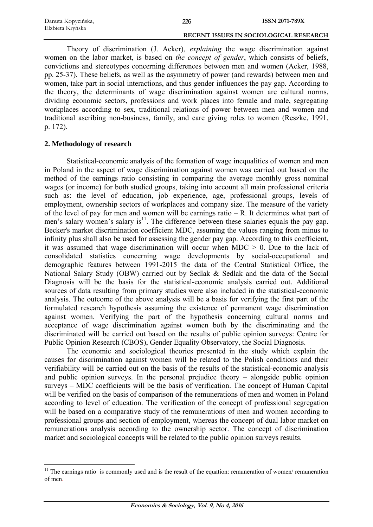| Danuta Kopycińska, | 226 | <b>ISSN 2071-789X</b>                         |
|--------------------|-----|-----------------------------------------------|
| Elzbieta Kryńska   |     |                                               |
|                    |     | <b>RECENT ISSUES IN SOCIOLOGICAL RESEARCH</b> |

Theory of discrimination (J. Acker), *explaining* the wage discrimination against women on the labor market, is based on *the concept of gender*, which consists of beliefs, convictions and stereotypes concerning differences between men and women (Acker, 1988, pp. 25-37). These beliefs, as well as the asymmetry of power (and rewards) between men and women, take part in social interactions, and thus gender influences the pay gap. According to the theory, the determinants of wage discrimination against women are cultural norms, dividing economic sectors, professions and work places into female and male, segregating workplaces according to sex, traditional relations of power between men and women and traditional ascribing non-business, family, and care giving roles to women (Reszke, 1991, p. 172).

# **2. Methodology of research**

<u>.</u>

Statistical-economic analysis of the formation of wage inequalities of women and men in Poland in the aspect of wage discrimination against women was carried out based on the method of the earnings ratio consisting in comparing the average monthly gross nominal wages (or income) for both studied groups, taking into account all main professional criteria such as: the level of education, job experience, age, professional groups, levels of employment, ownership sectors of workplaces and company size. The measure of the variety of the level of pay for men and women will be earnings ratio – R. It determines what part of men's salary women's salary is<sup>11</sup>. The difference between these salaries equals the pay gap. Becker's market discrimination coefficient MDC, assuming the values ranging from minus to infinity plus shall also be used for assessing the gender pay gap. According to this coefficient, it was assumed that wage discrimination will occur when  $MDC > 0$ . Due to the lack of consolidated statistics concerning wage developments by social-occupational and demographic features between 1991-2015 the data of the Central Statistical Office, the National Salary Study (OBW) carried out by Sedlak & Sedlak and the data of the Social Diagnosis will be the basis for the statistical-economic analysis carried out. Additional sources of data resulting from primary studies were also included in the statistical-economic analysis. The outcome of the above analysis will be a basis for verifying the first part of the formulated research hypothesis assuming the existence of permanent wage discrimination against women. Verifying the part of the hypothesis concerning cultural norms and acceptance of wage discrimination against women both by the discriminating and the discriminated will be carried out based on the results of public opinion surveys: Centre for Public Opinion Research (CBOS), Gender Equality Observatory, the Social Diagnosis.

The economic and sociological theories presented in the study which explain the causes for discrimination against women will be related to the Polish conditions and their verifiability will be carried out on the basis of the results of the statistical-economic analysis and public opinion surveys. In the personal prejudice theory – alongside public opinion surveys – MDC coefficients will be the basis of verification. The concept of Human Capital will be verified on the basis of comparison of the remunerations of men and women in Poland according to level of education. The verification of the concept of professional segregation will be based on a comparative study of the remunerations of men and women according to professional groups and section of employment, whereas the concept of dual labor market on remunerations analysis according to the ownership sector. The concept of discrimination market and sociological concepts will be related to the public opinion surveys results.

 $11$  The earnings ratio is commonly used and is the result of the equation: remuneration of women/ remuneration of men.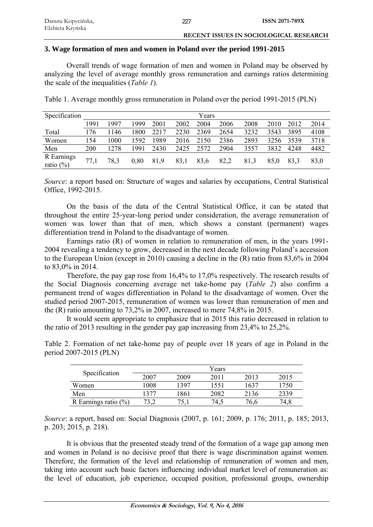# **3. Wage formation of men and women in Poland over the period 1991-2015**

Overall trends of wage formation of men and women in Poland may be observed by analyzing the level of average monthly gross remuneration and earnings ratios determining the scale of the inequalities (*Table 1*).

| Specification              |      | Years |      |      |      |      |      |      |      |      |      |
|----------------------------|------|-------|------|------|------|------|------|------|------|------|------|
|                            | 1991 | 1997  | 1999 | 2001 | 2002 | 2004 | 2006 | 2008 | 2010 | 2012 | 2014 |
| Total                      | 176  | 1146  | 1800 | 2217 | 2230 | 2369 | 2654 | 3232 | 3543 | 3895 | 4108 |
| Women                      | 154  | 1000  | 1592 | 1989 | 2016 | 2150 | 2386 | 2893 | 3256 | 3539 | 3718 |
| Men                        | 200  | 1278  | 1991 | 2430 | 2425 | 2572 | 2904 | 3557 | 3832 | 4248 | 4482 |
| R Earnings<br>ratio $(\%)$ | 77,1 | 78.3  | 0,80 | 81,9 | 83,1 | 83,6 | 82,2 | 81,3 | 85,0 | 83.3 | 83,0 |

Table 1. Average monthly gross remuneration in Poland over the period 1991-2015 (PLN)

*Source*: a report based on: Structure of wages and salaries by occupations, Central Statistical Office, 1992-2015.

On the basis of the data of the Central Statistical Office, it can be stated that throughout the entire 25-year-long period under consideration, the average remuneration of women was lower than that of men, which shows a constant (permanent) wages differentiation trend in Poland to the disadvantage of women.

Earnings ratio (R) of women in relation to remuneration of men, in the years 1991- 2004 revealing a tendency to grow, decreased in the next decade following Poland's accession to the European Union (except in 2010) causing a decline in the (R) ratio from 83,6% in 2004 to 83,0% in 2014.

Therefore, the pay gap rose from 16,4% to 17,0% respectively. The research results of the Social Diagnosis concerning average net take-home pay (*Table 2*) also confirm a permanent trend of wages differentiation in Poland to the disadvantage of women. Over the studied period 2007-2015, remuneration of women was lower than remuneration of men and the (R) ratio amounting to 73,2% in 2007, increased to mere 74,8% in 2015.

It would seem appropriate to emphasize that in 2015 this ratio decreased in relation to the ratio of 2013 resulting in the gender pay gap increasing from 23,4% to 25,2%.

Table 2. Formation of net take-home pay of people over 18 years of age in Poland in the period 2007-2015 (PLN)

| Specification           |      |      | Years |      |      |
|-------------------------|------|------|-------|------|------|
|                         | 2007 | 2009 | 2011  | 2013 | 2015 |
| Women                   | 1008 | 1397 | 1551  | 1637 | 750  |
| Men                     | 1377 | 1861 | 2082  | 2136 | 2339 |
| R Earnings ratio $(\%)$ |      | 75.1 | 74,5  | 76,6 | 74.8 |

*Source*: a report, based on: Social Diagnosis (2007, p. 161; 2009, p. 176; 2011, p. 185; 2013, p. 203; 2015, p. 218).

It is obvious that the presented steady trend of the formation of a wage gap among men and women in Poland is no decisive proof that there is wage discrimination against women. Therefore, the formation of the level and relationship of remuneration of women and men, taking into account such basic factors influencing individual market level of remuneration as: the level of education, job experience, occupied position, professional groups, ownership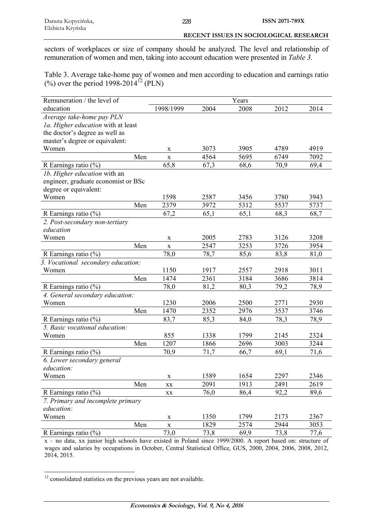sectors of workplaces or size of company should be analyzed. The level and relationship of remuneration of women and men, taking into account education were presented in *Table 3*.

228

Table 3. Average take-home pay of women and men according to education and earnings ratio (%) over the period 1998-2014<sup>12</sup> (PLN)

| Remuneration / the level of         |                        |      | Years |      |      |
|-------------------------------------|------------------------|------|-------|------|------|
| education                           | 1998/1999              | 2004 | 2008  | 2012 | 2014 |
| Average take-home pay PLN           |                        |      |       |      |      |
| 1a. Higher education with at least  |                        |      |       |      |      |
| the doctor's degree as well as      |                        |      |       |      |      |
| master's degree or equivalent:      |                        |      |       |      |      |
| Women                               | X                      | 3073 | 3905  | 4789 | 4919 |
| Men                                 | $\mathbf X$            | 4564 | 5695  | 6749 | 7092 |
| R Earnings ratio $(\%)$             | 65,8                   | 67,3 | 68,6  | 70,9 | 69,4 |
| 1b. Higher education with an        |                        |      |       |      |      |
| engineer, graduate economist or BSc |                        |      |       |      |      |
| degree or equivalent:               |                        |      |       |      |      |
| Women                               | 1598                   | 2587 | 3456  | 3780 | 3943 |
| Men                                 | 2379                   | 3972 | 5312  | 5537 | 5737 |
| R Earnings ratio (%)                | 67,2                   | 65,1 | 65,1  | 68,3 | 68,7 |
| 2. Post-secondary non-tertiary      |                        |      |       |      |      |
| education                           |                        |      |       |      |      |
| Women                               | X                      | 2005 | 2783  | 3126 | 3208 |
| Men                                 | $\mathbf X$            | 2547 | 3253  | 3726 | 3954 |
| R Earnings ratio $(\%)$             | 78,0                   | 78,7 | 85,6  | 83,8 | 81,0 |
| 3. Vocational secondary education:  |                        |      |       |      |      |
| Women                               | 1150                   | 1917 | 2557  | 2918 | 3011 |
| Men                                 | 1474                   | 2361 | 3184  | 3686 | 3814 |
| R Earnings ratio $(\%)$             | 78,0                   | 81,2 | 80,3  | 79,2 | 78,9 |
| 4. General secondary education:     |                        |      |       |      |      |
| Women                               | 1230                   | 2006 | 2500  | 2771 | 2930 |
| Men                                 | 1470                   | 2352 | 2976  | 3537 | 3746 |
| R Earnings ratio $(\%)$             | 83,7                   | 85,3 | 84,0  | 78,3 | 78,9 |
| 5. Basic vocational education:      |                        |      |       |      |      |
| Women                               | 855                    | 1338 | 1799  | 2145 | 2324 |
| Men                                 | 1207                   | 1866 | 2696  | 3003 | 3244 |
| R Earnings ratio (%)                | 70,9                   | 71,7 | 66,7  | 69,1 | 71,6 |
| 6. Lower secondary general          |                        |      |       |      |      |
| education:                          |                        |      |       |      |      |
| Women                               | $\mathbf X$            | 1589 | 1654  | 2297 | 2346 |
| Men                                 | XX                     | 2091 | 1913  | 2491 | 2619 |
| R Earnings ratio $(\%)$             | $\mathbf{X}\mathbf{X}$ | 76,0 | 86,4  | 92,2 | 89,6 |
| 7. Primary and incomplete primary   |                        |      |       |      |      |
| education:                          |                        |      |       |      |      |
| Women                               | $\mathbf X$            | 1350 | 1799  | 2173 | 2367 |
| Men                                 | $\mathbf X$            | 1829 | 2574  | 2944 | 3053 |
| R Earnings ratio $(\%)$             | 73,0                   | 73,8 | 69,9  | 73,8 | 77,6 |

x – no data, xx junior high schools have existed in Poland since 1999/2000. A report based on: structure of wages and salaries by occupations in October, Central Statistical Office, GUS, 2000, 2004, 2006, 2008, 2012, 2014, 2015.

1  $12$  consolidated statistics on the previous years are not available.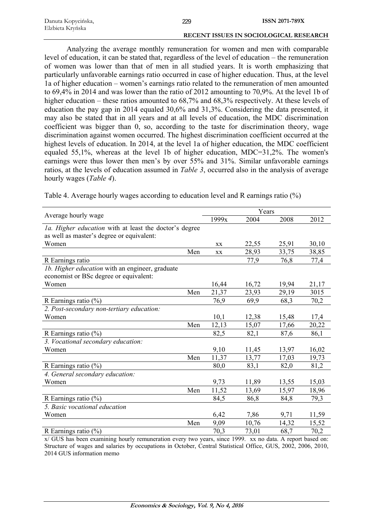| Danuta Kopycińska, | 229 | ISSN 2071-789X                         |
|--------------------|-----|----------------------------------------|
| Elzbieta Kryńska   |     |                                        |
|                    |     | RECENT ISSUES IN SOCIOLOGICAL RESEARCH |

Analyzing the average monthly remuneration for women and men with comparable level of education, it can be stated that, regardless of the level of education – the remuneration of women was lower than that of men in all studied years. It is worth emphasizing that particularly unfavorable earnings ratio occurred in case of higher education. Thus, at the level 1a of higher education – women's earnings ratio related to the remuneration of men amounted to 69,4% in 2014 and was lower than the ratio of 2012 amounting to 70,9%. At the level 1b of higher education – these ratios amounted to 68,7% and 68,3% respectively. At these levels of education the pay gap in 2014 equaled 30,6% and 31,3%. Considering the data presented, it may also be stated that in all years and at all levels of education, the MDC discrimination coefficient was bigger than 0, so, according to the taste for discrimination theory, wage discrimination against women occurred. The highest discrimination coefficient occurred at the highest levels of education. In 2014, at the level 1a of higher education, the MDC coefficient equaled 55,1%, whereas at the level 1b of higher education, MDC=31,2%. The women's earnings were thus lower then men's by over 55% and 31%. Similar unfavorable earnings ratios, at the levels of education assumed in *Table 3*, occurred also in the analysis of average hourly wages (*Table 4*).

|     | 1999x                                                         | 2004  | 2008  | 2012  |
|-----|---------------------------------------------------------------|-------|-------|-------|
|     |                                                               |       |       |       |
|     |                                                               |       |       |       |
|     | XX                                                            | 22,55 | 25,91 | 30,10 |
| Men | XX                                                            | 28,93 | 33,75 | 38,85 |
|     |                                                               | 77,9  | 76,8  | 77,4  |
|     |                                                               |       |       |       |
|     |                                                               |       |       |       |
|     | 16,44                                                         | 16,72 | 19,94 | 21,17 |
| Men | 21,37                                                         | 23,93 | 29,19 | 3015  |
|     | 76,9                                                          | 69,9  | 68,3  | 70,2  |
|     |                                                               |       |       |       |
|     | 10,1                                                          | 12,38 | 15,48 | 17,4  |
| Men | 12,13                                                         | 15,07 | 17,66 | 20,22 |
|     | 82,5                                                          | 82,1  | 87,6  | 86,1  |
|     |                                                               |       |       |       |
|     | 9,10                                                          | 11,45 | 13,97 | 16,02 |
| Men | 11,37                                                         | 13,77 | 17,03 | 19,73 |
|     | 80,0                                                          | 83,1  | 82,0  | 81,2  |
|     |                                                               |       |       |       |
|     | 9,73                                                          | 11,89 | 13,55 | 15,03 |
| Men | 11,52                                                         | 13,69 | 15,97 | 18,96 |
|     | 84,5                                                          | 86,8  | 84,8  | 79,3  |
|     |                                                               |       |       |       |
|     | 6,42                                                          | 7,86  | 9,71  | 11,59 |
| Men | 9,09                                                          | 10,76 | 14,32 | 15,52 |
|     | 70,3                                                          | 73,01 | 68,7  | 70,2  |
|     | <i>la. Higher education</i> with at least the doctor's degree |       |       | Years |

Table 4. Average hourly wages according to education level and R earnings ratio (%)

x/ GUS has been examining hourly remuneration every two years, since 1999. xx no data. A report based on: Structure of wages and salaries by occupations in October, Central Statistical Office, GUS, 2002, 2006, 2010, 2014 GUS information memo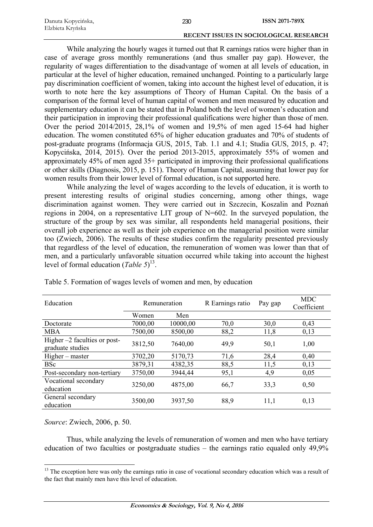| Danuta Kopycińska, | 230 | <b>ISSN 2071-789X</b>                         |
|--------------------|-----|-----------------------------------------------|
| Elzbieta Kryńska   |     |                                               |
|                    |     | <b>RECENT ISSUES IN SOCIOLOGICAL RESEARCH</b> |

While analyzing the hourly wages it turned out that R earnings ratios were higher than in case of average gross monthly remunerations (and thus smaller pay gap). However, the regularity of wages differentiation to the disadvantage of women at all levels of education, in particular at the level of higher education, remained unchanged. Pointing to a particularly large pay discrimination coefficient of women, taking into account the highest level of education, it is worth to note here the key assumptions of Theory of Human Capital. On the basis of a comparison of the formal level of human capital of women and men measured by education and supplementary education it can be stated that in Poland both the level of women's education and their participation in improving their professional qualifications were higher than those of men. Over the period 2014/2015, 28,1% of women and 19,5% of men aged 15-64 had higher education. The women constituted 65% of higher education graduates and 70% of students of post-graduate programs (Informacja GUS, 2015, Tab. 1.1 and 4.1; Studia GUS, 2015, p. 47; Kopycińska, 2014, 2015). Over the period 2013-2015, approximately 55% of women and approximately 45% of men aged 35+ participated in improving their professional qualifications or other skills (Diagnosis, 2015, p. 151). Theory of Human Capital, assuming that lower pay for women results from their lower level of formal education, is not supported here.

While analyzing the level of wages according to the levels of education, it is worth to present interesting results of original studies concerning, among other things, wage discrimination against women. They were carried out in Szczecin, Koszalin and Poznań regions in 2004, on a representative LIT group of N=602. In the surveyed population, the structure of the group by sex was similar, all respondents held managerial positions, their overall job experience as well as their job experience on the managerial position were similar too (Zwiech, 2006). The results of these studies confirm the regularity presented previously that regardless of the level of education, the remuneration of women was lower than that of men, and a particularly unfavorable situation occurred while taking into account the highest level of formal education (*Table 5*) 13.

| Education                                          | Remuneration |          | R Earnings ratio | Pay gap | <b>MDC</b><br>Coefficient |
|----------------------------------------------------|--------------|----------|------------------|---------|---------------------------|
|                                                    | Women        | Men      |                  |         |                           |
| Doctorate                                          | 7000,00      | 10000,00 | 70,0             | 30,0    | 0,43                      |
| <b>MBA</b>                                         | 7500,00      | 8500,00  | 88,2             | 11,8    | 0,13                      |
| Higher $-2$ faculties or post-<br>graduate studies | 3812,50      | 7640,00  | 49,9             | 50,1    | 1,00                      |
| Higher – master                                    | 3702,20      | 5170,73  | 71,6             | 28,4    | 0,40                      |
| <b>BSc</b>                                         | 3879,31      | 4382,35  | 88,5             | 11,5    | 0,13                      |
| Post-secondary non-tertiary                        | 3750,00      | 3944,44  | 95,1             | 4,9     | 0,05                      |
| Vocational secondary<br>education                  | 3250,00      | 4875,00  | 66,7             | 33,3    | 0,50                      |
| General secondary<br>education                     | 3500,00      | 3937,50  | 88,9             | 11,1    | 0,13                      |

Table 5. Formation of wages levels of women and men, by education

*Source*: Zwiech, 2006, p. 50.

<u>.</u>

Thus, while analyzing the levels of remuneration of women and men who have tertiary education of two faculties or postgraduate studies – the earnings ratio equaled only 49,9%

<sup>&</sup>lt;sup>13</sup> The exception here was only the earnings ratio in case of vocational secondary education which was a result of the fact that mainly men have this level of education.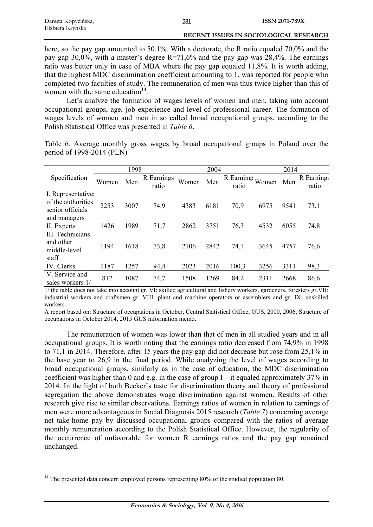| Danuta Kopycińska, | ISSN 2071-789X |
|--------------------|----------------|
| Elzbieta Krvńska   |                |

here, so the pay gap amounted to 50,1%. With a doctorate, the R ratio equaled 70,0% and the pay gap 30,0%, with a master's degree R=71,6% and the pay gap was 28,4%. The earnings ratio was better only in case of MBA where the pay gap equaled 11,8%. It is worth adding, that the highest MDC discrimination coefficient amounting to 1, was reported for people who completed two faculties of study. The remuneration of men was thus twice higher than this of women with the same education<sup>14</sup>.

 **RECENT ISSUES IN SOCIOLOGICAL RESEARCH** 

Let's analyze the formation of wages levels of women and men, taking into account occupational groups, age, job experience and level of professional career. The formation of wages levels of women and men in so called broad occupational groups, according to the Polish Statistical Office was presented in *Table 6*.

Table 6. Average monthly gross wages by broad occupational groups in Poland over the period of 1998-2014 (PLN)

|                                                                               |       | 1998 |                     |       | 2004 |                    |       | 2014 |                     |
|-------------------------------------------------------------------------------|-------|------|---------------------|-------|------|--------------------|-------|------|---------------------|
| Specification                                                                 | Women | Men  | R Earnings<br>ratio | Women | Men  | R Earning<br>ratio | Women | Men  | R Earnings<br>ratio |
| I. Representatives<br>of the authorities.<br>senior officials<br>and managers | 2253  | 3007 | 74,9                | 4383  | 6181 | 70,9               | 6975  | 9541 | 73,1                |
| II. Experts                                                                   | 1426  | 1989 | 71,7                | 2862  | 3751 | 76,3               | 4532  | 6055 | 74,8                |
| III. Technicians<br>and other<br>middle-level<br>staff                        | 1194  | 1618 | 73,8                | 2106  | 2842 | 74,1               | 3645  | 4757 | 76,6                |
| IV. Clerks                                                                    | 1187  | 1257 | 94,4                | 2023  | 2016 | 100,3              | 3256  | 3311 | 98,3                |
| V. Service and<br>sales workers 1/                                            | 812   | 1087 | 74,7                | 1508  | 1269 | 84,2               | 2311  | 2668 | 86,6                |

1/ the table does not take into account gr. VI: skilled agricultural and fishery workers, gardeners, foresters gr.VII: industrial workers and craftsmen gr. VIII: plant and machine operators or assemblers and gr. IX: unskilled workers.

A report based on: Structure of occupations in October, Central Statistical Office, GUS, 2000, 2006, Structure of occupations in October 2014, 2015 GUS information memo.

The remuneration of women was lower than that of men in all studied years and in all occupational groups. It is worth noting that the earnings ratio decreased from 74,9% in 1998 to 71,1 in 2014. Therefore, after 15 years the pay gap did not decrease but rose from 25,1% in the base year to 26,9 in the final period. While analyzing the level of wages according to broad occupational groups, similarly as in the case of education, the MDC discrimination coefficient was higher than 0 and e.g. in the case of group  $I - it$  equaled approximately 37% in 2014. In the light of both Becker's taste for discrimination theory and theory of professional segregation the above demonstrates wage discrimination against women. Results of other research give rise to similar observations. Earnings ratios of women in relation to earnings of men were more advantageous in Social Diagnosis 2015 research (*Table 7*) concerning average net take-home pay by discussed occupational groups compared with the ratios of average monthly remuneration according to the Polish Statistical Office. However, the regularity of the occurrence of unfavorable for women R earnings ratios and the pay gap remained unchanged.

1

 $14$  The presented data concern employed persons representing 80% of the studied population 80.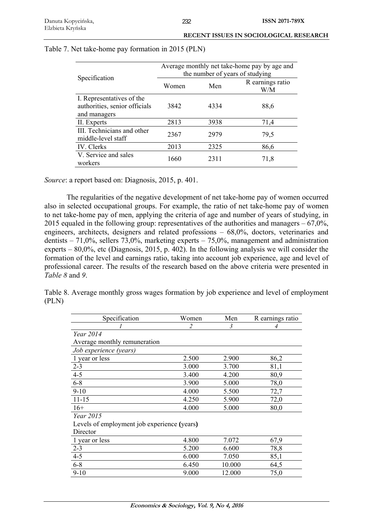| <b>RECENT ISSUES IN SOCIOLOGICAL RESEARCH</b> |
|-----------------------------------------------|
|                                               |

|                                                          | Average monthly net take-home pay by age and |      |                         |  |
|----------------------------------------------------------|----------------------------------------------|------|-------------------------|--|
| Specification                                            | the number of years of studying              |      |                         |  |
|                                                          | Women                                        | Men  | R earnings ratio<br>W/M |  |
| I. Representatives of the                                |                                              |      |                         |  |
| authorities, senior officials                            | 3842                                         | 4334 | 88,6                    |  |
| and managers                                             |                                              |      |                         |  |
| II. Experts                                              | 2813                                         | 3938 | 71,4                    |  |
| <b>III</b> . Technicians and other<br>middle-level staff | 2367                                         | 2979 | 79,5                    |  |
| IV. Clerks                                               | 2013                                         | 2325 | 86,6                    |  |
| V. Service and sales<br>workers                          | 1660                                         | 2311 | 71,8                    |  |

## Table 7. Net take-home pay formation in 2015 (PLN)

*Source*: a report based on: Diagnosis, 2015, p. 401.

The regularities of the negative development of net take-home pay of women occurred also in selected occupational groups. For example, the ratio of net take-home pay of women to net take-home pay of men, applying the criteria of age and number of years of studying, in 2015 equaled in the following group: representatives of the authorities and managers  $-67.0\%$ , engineers, architects, designers and related professions – 68,0%, doctors, veterinaries and dentists – 71,0%, sellers 73,0%, marketing experts – 75,0%, management and administration experts – 80,0%, etc (Diagnosis, 2015, p. 402). In the following analysis we will consider the formation of the level and earnings ratio, taking into account job experience, age and level of professional career. The results of the research based on the above criteria were presented in *Table 8* and *9*.

Table 8. Average monthly gross wages formation by job experience and level of employment (PLN)

| Specification                               | Women | Men    | R earnings ratio |  |
|---------------------------------------------|-------|--------|------------------|--|
|                                             | 2     | 3      | 4                |  |
| Year 2014                                   |       |        |                  |  |
| Average monthly remuneration                |       |        |                  |  |
| Job experience (years)                      |       |        |                  |  |
| 1 year or less                              | 2.500 | 2.900  | 86,2             |  |
| $2 - 3$                                     | 3.000 | 3.700  | 81,1             |  |
| $4 - 5$                                     | 3.400 | 4.200  | 80,9             |  |
| $6 - 8$                                     | 3.900 | 5.000  | 78,0             |  |
| $9-10$                                      | 4.000 | 5.500  | 72,7             |  |
| $11 - 15$                                   | 4.250 | 5.900  | 72,0             |  |
| $16+$                                       | 4.000 | 5.000  | 80,0             |  |
| Year 2015                                   |       |        |                  |  |
| Levels of employment job experience (years) |       |        |                  |  |
| Director                                    |       |        |                  |  |
| 1 year or less                              | 4.800 | 7.072  | 67,9             |  |
| $2 - 3$                                     | 5.200 | 6.600  | 78,8             |  |
| $4 - 5$                                     | 6.000 | 7.050  | 85,1             |  |
| $6 - 8$                                     | 6.450 | 10.000 | 64,5             |  |
| $9-10$                                      | 9.000 | 12.000 | 75,0             |  |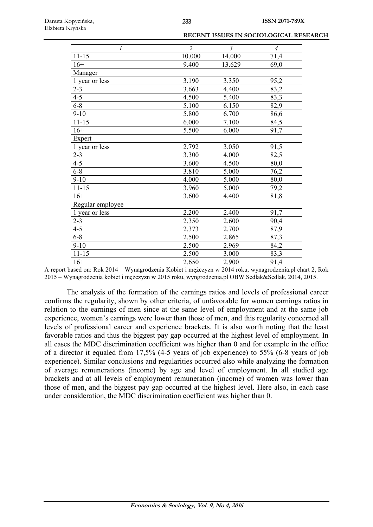| 1                | $\overline{2}$ | $\mathfrak{Z}$ | $\overline{A}$ |
|------------------|----------------|----------------|----------------|
| $11 - 15$        | 10.000         | 14.000         | 71,4           |
| $16+$            | 9.400          | 13.629         | 69,0           |
| Manager          |                |                |                |
| 1 year or less   | 3.190          | 3.350          | 95,2           |
| $2 - 3$          | 3.663          | 4.400          | 83,2           |
| $4 - 5$          | 4.500          | 5.400          | 83,3           |
| $6 - 8$          | 5.100          | 6.150          | 82,9           |
| $9 - 10$         | 5.800          | 6.700          | 86,6           |
| $11 - 15$        | 6.000          | 7.100          | 84,5           |
| $16+$            | 5.500          | 6.000          | 91,7           |
| Expert           |                |                |                |
| 1 year or less   | 2.792          | 3.050          | 91,5           |
| $2 - 3$          | 3.300          | 4.000          | 82,5           |
| $4 - 5$          | 3.600          | 4.500          | 80,0           |
| $6 - 8$          | 3.810          | 5.000          | 76,2           |
| $9-10$           | 4.000          | 5.000          | 80,0           |
| $11 - 15$        | 3.960          | 5.000          | 79,2           |
| $16+$            | 3.600          | 4.400          | 81,8           |
| Regular employee |                |                |                |
| 1 year or less   | 2.200          | 2.400          | 91,7           |
| $2 - 3$          | 2.350          | 2.600          | 90,4           |
| $4 - 5$          | 2.373          | 2.700          | 87,9           |
| $6 - 8$          | 2.500          | 2.865          | 87,3           |
| $9 - 10$         | 2.500          | 2.969          | 84,2           |
| $11 - 15$        | 2.500          | 3.000          | 83,3           |
| $16+$            | 2.650          | 2.900          | 91,4           |

A report based on: Rok 2014 – Wynagrodzenia Kobiet i mężczyzn w 2014 roku, wynagrodzenia.pl chart 2, Rok 2015 – Wynagrodzenia kobiet i mężczyzn w 2015 roku, wyngrodzenia.pl OBW Sedlak&Sedlak, 2014, 2015.

The analysis of the formation of the earnings ratios and levels of professional career confirms the regularity, shown by other criteria, of unfavorable for women earnings ratios in relation to the earnings of men since at the same level of employment and at the same job experience, women's earnings were lower than those of men, and this regularity concerned all levels of professional career and experience brackets. It is also worth noting that the least favorable ratios and thus the biggest pay gap occurred at the highest level of employment. In all cases the MDC discrimination coefficient was higher than 0 and for example in the office of a director it equaled from 17,5% (4-5 years of job experience) to 55% (6-8 years of job experience). Similar conclusions and regularities occurred also while analyzing the formation of average remunerations (income) by age and level of employment. In all studied age brackets and at all levels of employment remuneration (income) of women was lower than those of men, and the biggest pay gap occurred at the highest level. Here also, in each case under consideration, the MDC discrimination coefficient was higher than 0.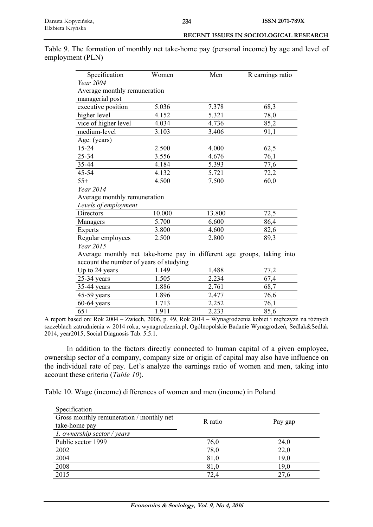Table 9. The formation of monthly net take-home pay (personal income) by age and level of employment (PLN)

| Specification                                                          | Women  | Men    | R earnings ratio |  |
|------------------------------------------------------------------------|--------|--------|------------------|--|
| Year 2004                                                              |        |        |                  |  |
| Average monthly remuneration                                           |        |        |                  |  |
| managerial post                                                        |        |        |                  |  |
| executive position                                                     | 5.036  | 7.378  | 68,3             |  |
| higher level                                                           | 4.152  | 5.321  | 78,0             |  |
| vice of higher level                                                   | 4.034  | 4.736  | 85,2             |  |
| medium-level                                                           | 3.103  | 3.406  | 91,1             |  |
| Age: (years)                                                           |        |        |                  |  |
| 15-24                                                                  | 2.500  | 4.000  | 62,5             |  |
| 25-34                                                                  | 3.556  | 4.676  | 76,1             |  |
| 35-44                                                                  | 4.184  | 5.393  | 77,6             |  |
| 45-54                                                                  | 4.132  | 5.721  | 72,2             |  |
| $55+$                                                                  | 4.500  | 7.500  | 60,0             |  |
| Year 2014                                                              |        |        |                  |  |
| Average monthly remuneration                                           |        |        |                  |  |
| Levels of employment                                                   |        |        |                  |  |
| Directors                                                              | 10.000 | 13.800 | 72,5             |  |
| Managers                                                               | 5.700  | 6.600  | 86,4             |  |
| Experts                                                                | 3.800  | 4.600  | 82,6             |  |
| Regular employees                                                      | 2.500  | 2.800  | 89,3             |  |
| Year 2015                                                              |        |        |                  |  |
| Average monthly net take-home pay in different age groups, taking into |        |        |                  |  |
| account the number of years of studying                                |        |        |                  |  |
| Up to 24 years                                                         | 1.149  | 1.488  | 77,2             |  |
| $25-34$ years                                                          | 1.505  | 2.234  | 67,4             |  |
| $35-44$ years                                                          | 1.886  | 2.761  | 68,7             |  |
| 45-59 years                                                            | 1.896  | 2.477  | 76,6             |  |
| $60-64$ years                                                          | 1.713  | 2.252  | 76,1             |  |
| $65+$                                                                  | 1.911  | 2.233  | 85,6             |  |

A report based on: Rok 2004 – Zwiech, 2006, p. 49, Rok 2014 – Wynagrodzenia kobiet i mężczyzn na różnych szczeblach zatrudnienia w 2014 roku, wynagrodzenia.pl, Ogólnopolskie Badanie Wynagrodzeń, Sedlak&Sedlak 2014, year2015, Social Diagnosis Tab. 5.5.1.

In addition to the factors directly connected to human capital of a given employee, ownership sector of a company, company size or origin of capital may also have influence on the individual rate of pay. Let's analyze the earnings ratio of women and men, taking into account these criteria (*Table 10*).

Table 10. Wage (income) differences of women and men (income) in Poland

| Specification                            |         |         |
|------------------------------------------|---------|---------|
| Gross monthly remuneration / monthly net | R ratio |         |
| take-home pay                            |         | Pay gap |
| 1. ownership sector / years              |         |         |
| Public sector 1999                       | 76,0    | 24,0    |
| 2002                                     | 78,0    | 22,0    |
| 2004                                     | 81,0    | 19,0    |
| 2008                                     | 81,0    | 19,0    |
| 2015                                     | 72,4    | 27,6    |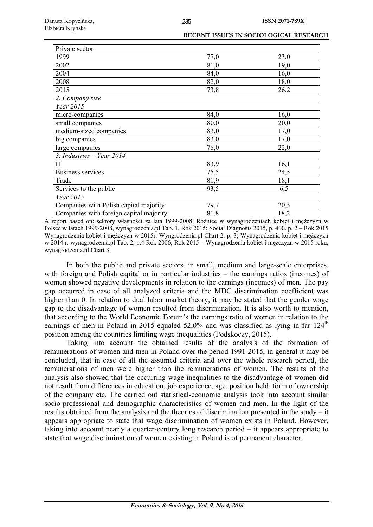| <b>RECENT ISSUES IN SOCIOLOGICAL RESEARCH</b> |
|-----------------------------------------------|
|                                               |
|                                               |

| Private sector                          |      |      |
|-----------------------------------------|------|------|
| 1999                                    | 77,0 | 23,0 |
| 2002                                    | 81,0 | 19,0 |
| 2004                                    | 84,0 | 16,0 |
| 2008                                    | 82,0 | 18,0 |
| 2015                                    | 73,8 | 26,2 |
| 2. Company size                         |      |      |
| Year 2015                               |      |      |
| micro-companies                         | 84,0 | 16,0 |
| small companies                         | 80,0 | 20,0 |
| medium-sized companies                  | 83,0 | 17,0 |
| big companies                           | 83,0 | 17,0 |
| large companies                         | 78,0 | 22,0 |
| 3. Industries $-$ Year 2014             |      |      |
| IT                                      | 83,9 | 16,1 |
| Business services                       | 75,5 | 24,5 |
| Trade                                   | 81,9 | 18,1 |
| Services to the public                  | 93,5 | 6,5  |
| Year 2015                               |      |      |
| Companies with Polish capital majority  | 79,7 | 20,3 |
| Companies with foreign capital majority | 81,8 | 18,2 |

A report based on: sektory własności za lata 1999-2008. Różnice w wynagrodzeniach kobiet i mężczyzn w Polsce w latach 1999-2008, wynagrodzenia.pl Tab. 1, Rok 2015; Social Diagnosis 2015, p. 400. p. 2 – Rok 2015 Wynagrodzenia kobiet i mężczyzn w 2015r. Wyngrodzenia.pl Chart 2. p. 3; Wynagrodzenia kobiet i mężczyzn w 2014 r. wynagrodzenia.pl Tab. 2, p.4 Rok 2006; Rok 2015 – Wynagrodzenia kobiet i mężczyzn w 2015 roku, wynagrodzenia.pl Chart 3.

In both the public and private sectors, in small, medium and large-scale enterprises, with foreign and Polish capital or in particular industries – the earnings ratios (incomes) of women showed negative developments in relation to the earnings (incomes) of men. The pay gap occurred in case of all analyzed criteria and the MDC discrimination coefficient was higher than 0. In relation to dual labor market theory, it may be stated that the gender wage gap to the disadvantage of women resulted from discrimination. It is also worth to mention, that according to the World Economic Forum's the earnings ratio of women in relation to the earnings of men in Poland in 2015 equaled 52,0% and was classified as lying in far  $124<sup>th</sup>$ position among the countries limiting wage inequalities (Podskoczy, 2015).

Taking into account the obtained results of the analysis of the formation of remunerations of women and men in Poland over the period 1991-2015, in general it may be concluded, that in case of all the assumed criteria and over the whole research period, the remunerations of men were higher than the remunerations of women. The results of the analysis also showed that the occurring wage inequalities to the disadvantage of women did not result from differences in education, job experience, age, position held, form of ownership of the company etc. The carried out statistical-economic analysis took into account similar socio-professional and demographic characteristics of women and men. In the light of the results obtained from the analysis and the theories of discrimination presented in the study – it appears appropriate to state that wage discrimination of women exists in Poland. However, taking into account nearly a quarter-century long research period – it appears appropriate to state that wage discrimination of women existing in Poland is of permanent character.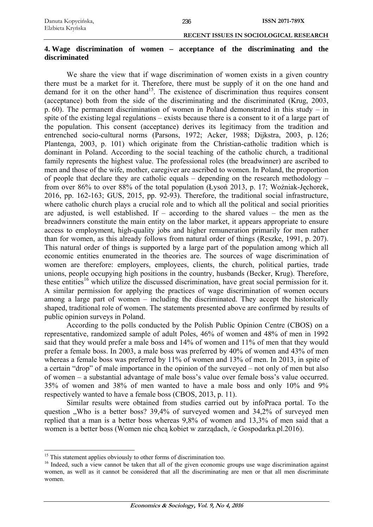# **4. Wage discrimination of women – acceptance of the discriminating and the discriminated**

We share the view that if wage discrimination of women exists in a given country there must be a market for it. Therefore, there must be supply of it on the one hand and demand for it on the other hand<sup>15</sup>. The existence of discrimination thus requires consent (acceptance) both from the side of the discriminating and the discriminated (Krug, 2003, p. 60). The permanent discrimination of women in Poland demonstrated in this study – in spite of the existing legal regulations – exists because there is a consent to it of a large part of the population. This consent (acceptance) derives its legitimacy from the tradition and entrenched socio-cultural norms (Parsons, 1972; Acker, 1988; Dijkstra, 2003, p. 126; Plantenga, 2003, p. 101) which originate from the Christian-catholic tradition which is dominant in Poland. According to the social teaching of the catholic church, a traditional family represents the highest value. The professional roles (the breadwinner) are ascribed to men and those of the wife, mother, caregiver are ascribed to women. In Poland, the proportion of people that declare they are catholic equals – depending on the research methodology – from over 86% to over 88% of the total population (Łysoń 2013, p. 17; Woźniak-Jęchorek, 2016, pp. 162-163; GUS, 2015, pp. 92-93). Therefore, the traditional social infrastructure, where catholic church plays a crucial role and to which all the political and social priorities are adjusted, is well established. If  $-$  according to the shared values  $-$  the men as the breadwinners constitute the main entity on the labor market, it appears appropriate to ensure access to employment, high-quality jobs and higher remuneration primarily for men rather than for women, as this already follows from natural order of things (Reszke, 1991, p. 207). This natural order of things is supported by a large part of the population among which all economic entities enumerated in the theories are. The sources of wage discrimination of women are therefore: employers, employees, clients, the church, political parties, trade unions, people occupying high positions in the country, husbands (Becker, Krug). Therefore, these entities<sup>16</sup> which utilize the discussed discrimination, have great social permission for it. A similar permission for applying the practices of wage discrimination of women occurs among a large part of women – including the discriminated. They accept the historically shaped, traditional role of women. The statements presented above are confirmed by results of public opinion surveys in Poland.

According to the polls conducted by the Polish Public Opinion Centre (CBOS) on a representative, randomized sample of adult Poles, 46% of women and 48% of men in 1992 said that they would prefer a male boss and 14% of women and 11% of men that they would prefer a female boss. In 2003, a male boss was preferred by 40% of women and 43% of men whereas a female boss was preferred by 11% of women and 13% of men. In 2013, in spite of a certain "drop" of male importance in the opinion of the surveyed – not only of men but also of women – a substantial advantage of male boss's value over female boss's value occurred. 35% of women and 38% of men wanted to have a male boss and only 10% and 9% respectively wanted to have a female boss (CBOS, 2013, p. 11).

Similar results were obtained from studies carried out by infoPraca portal. To the question . Who is a better boss? 39,4% of surveyed women and 34,2% of surveyed men replied that a man is a better boss whereas 9,8% of women and 13,3% of men said that a women is a better boss (Women nie chcą kobiet w zarządach, /e Gospodarka.pl.2016).

1

<sup>&</sup>lt;sup>15</sup> This statement applies obviously to other forms of discrimination too.

<sup>&</sup>lt;sup>16</sup> Indeed, such a view cannot be taken that all of the given economic groups use wage discrimination against women, as well as it cannot be considered that all the discriminating are men or that all men discriminate women.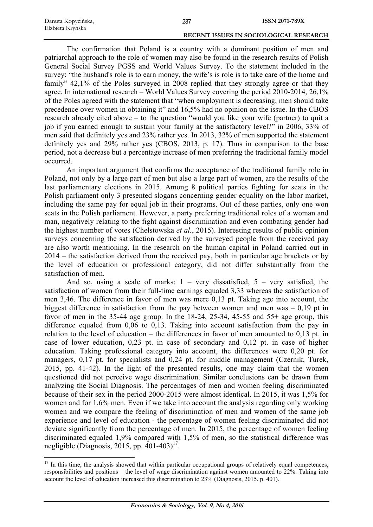| Danuta Kopycińska, |  |
|--------------------|--|
| Elzbieta Kryńska   |  |

1

#### **RECENT ISSUES IN SOCIOLOGICAL RESEARCH**

The confirmation that Poland is a country with a dominant position of men and patriarchal approach to the role of women may also be found in the research results of Polish General Social Survey PGSS and World Values Survey. To the statement included in the survey: "the husband's role is to earn money, the wife's is role is to take care of the home and family" 42,1% of the Poles surveyed in 2008 replied that they strongly agree or that they agree. In international research – World Values Survey covering the period 2010-2014, 26,1% of the Poles agreed with the statement that "when employment is decreasing, men should take precedence over women in obtaining it" and 16,5% had no opinion on the issue. In the CBOS research already cited above – to the question "would you like your wife (partner) to quit a job if you earned enough to sustain your family at the satisfactory level?" in 2006, 33% of men said that definitely yes and 23% rather yes. In 2013, 32% of men supported the statement definitely yes and 29% rather yes (CBOS, 2013, p. 17). Thus in comparison to the base period, not a decrease but a percentage increase of men preferring the traditional family model occurred.

An important argument that confirms the acceptance of the traditional family role in Poland, not only by a large part of men but also a large part of women, are the results of the last parliamentary elections in 2015. Among 8 political parties fighting for seats in the Polish parliament only 3 presented slogans concerning gender equality on the labor market, including the same pay for equal job in their programs. Out of these parties, only one won seats in the Polish parliament. However, a party preferring traditional roles of a woman and man, negatively relating to the fight against discrimination and even combating gender had the highest number of votes (Chełstowska *et al.*, 2015). Interesting results of public opinion surveys concerning the satisfaction derived by the surveyed people from the received pay are also worth mentioning. In the research on the human capital in Poland carried out in 2014 – the satisfaction derived from the received pay, both in particular age brackets or by the level of education or professional category, did not differ substantially from the satisfaction of men.

And so, using a scale of marks:  $1 - \text{very dissatisfied}$ ,  $5 - \text{very satisfied}$ , the satisfaction of women from their full-time earnings equaled 3,33 whereas the satisfaction of men 3,46. The difference in favor of men was mere 0,13 pt. Taking age into account, the biggest difference in satisfaction from the pay between women and men was – 0,19 pt in favor of men in the 35-44 age group. In the  $18-24$ ,  $25-34$ ,  $45-55$  and  $55+$  age group, this difference equaled from 0,06 to 0,13. Taking into account satisfaction from the pay in relation to the level of education – the differences in favor of men amounted to 0,13 pt. in case of lower education, 0,23 pt. in case of secondary and 0,12 pt. in case of higher education. Taking professional category into account, the differences were 0,20 pt. for managers, 0,17 pt. for specialists and 0,24 pt. for middle management (Czernik, Turek, 2015, pp. 41-42). In the light of the presented results, one may claim that the women questioned did not perceive wage discrimination. Similar conclusions can be drawn from analyzing the Social Diagnosis. The percentages of men and women feeling discriminated because of their sex in the period 2000-2015 were almost identical. In 2015, it was 1,5% for women and for 1,6% men. Even if we take into account the analysis regarding only working women and we compare the feeling of discrimination of men and women of the same job experience and level of education - the percentage of women feeling discriminated did not deviate significantly from the percentage of men. In 2015, the percentage of women feeling discriminated equaled 1,9% compared with 1,5% of men, so the statistical difference was negligible (Diagnosis, 2015, pp.  $401-403$ )<sup>17</sup>.

<sup>&</sup>lt;sup>17</sup> In this time, the analysis showed that within particular occupational groups of relatively equal competences, responsibilities and positions – the level of wage discrimination against women amounted to 22%. Taking into account the level of education increased this discrimination to 23% (Diagnosis, 2015, p. 401).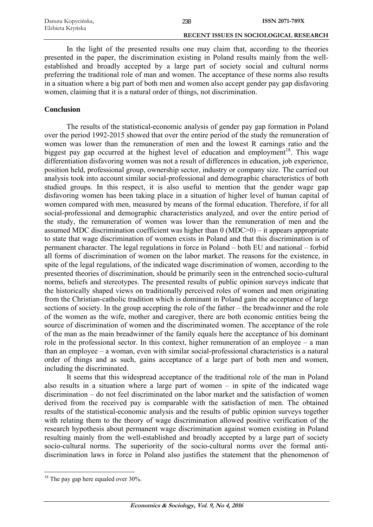In the light of the presented results one may claim that, according to the theories presented in the paper, the discrimination existing in Poland results mainly from the wellestablished and broadly accepted by a large part of society social and cultural norms preferring the traditional role of man and women. The acceptance of these norms also results in a situation where a big part of both men and women also accept gender pay gap disfavoring women, claiming that it is a natural order of things, not discrimination.

# **Conclusion**

The results of the statistical-economic analysis of gender pay gap formation in Poland over the period 1992-2015 showed that over the entire period of the study the remuneration of women was lower than the remuneration of men and the lowest R earnings ratio and the biggest pay gap occurred at the highest level of education and employment<sup>18</sup>. This wage differentiation disfavoring women was not a result of differences in education, job experience, position held, professional group, ownership sector, industry or company size. The carried out analysis took into account similar social-professional and demographic characteristics of both studied groups. In this respect, it is also useful to mention that the gender wage gap disfavoring women has been taking place in a situation of higher level of human capital of women compared with men, measured by means of the formal education. Therefore, if for all social-professional and demographic characteristics analyzed, and over the entire period of the study, the remuneration of women was lower than the remuneration of men and the assumed MDC discrimination coefficient was higher than 0 (MDC>0) – it appears appropriate to state that wage discrimination of women exists in Poland and that this discrimination is of permanent character. The legal regulations in force in Poland – both EU and national – forbid all forms of discrimination of women on the labor market. The reasons for the existence, in spite of the legal regulations, of the indicated wage discrimination of women, according to the presented theories of discrimination, should be primarily seen in the entrenched socio-cultural norms, beliefs and stereotypes. The presented results of public opinion surveys indicate that the historically shaped views on traditionally perceived roles of women and men originating from the Christian-catholic tradition which is dominant in Poland gain the acceptance of large sections of society. In the group accepting the role of the father – the breadwinner and the role of the women as the wife, mother and caregiver, there are both economic entities being the source of discrimination of women and the discriminated women. The acceptance of the role of the man as the main breadwinner of the family equals here the acceptance of his dominant role in the professional sector. In this context, higher remuneration of an employee – a man than an employee – a woman, even with similar social-professional characteristics is a natural order of things and as such, gains acceptance of a large part of both men and women, including the discriminated.

It seems that this widespread acceptance of the traditional role of the man in Poland also results in a situation where a large part of women – in spite of the indicated wage discrimination – do not feel discriminated on the labor market and the satisfaction of women derived from the received pay is comparable with the satisfaction of men. The obtained results of the statistical-economic analysis and the results of public opinion surveys together with relating them to the theory of wage discrimination allowed positive verification of the research hypothesis about permanent wage discrimination against women existing in Poland resulting mainly from the well-established and broadly accepted by a large part of society socio-cultural norms. The superiority of the socio-cultural norms over the formal antidiscrimination laws in force in Poland also justifies the statement that the phenomenon of

<sup>1</sup>  $18$  The pay gap here equaled over 30%.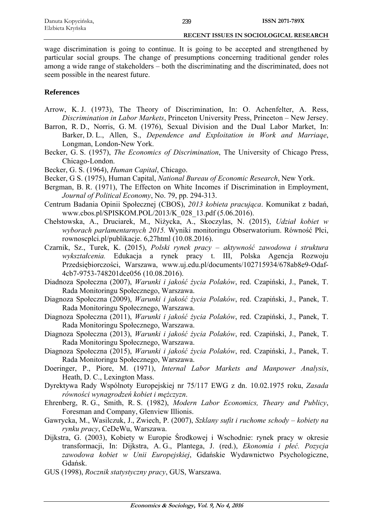wage discrimination is going to continue. It is going to be accepted and strengthened by particular social groups. The change of presumptions concerning traditional gender roles among a wide range of stakeholders – both the discriminating and the discriminated, does not seem possible in the nearest future.

# **References**

- Arrow, K. J. (1973), The Theory of Discrimination, In: O. Achenfelter, A. Ress, *Discrimination in Labor Markets*, Princeton University Press, Princeton – New Jersey.
- Barron, R. D., Norris, G. M. (1976), Sexual Division and the Dual Labor Market, In: Barker, D. L., Allen, S., *Dependence and Exploitation in Work and Marriaqe*, Longman, London-New York.
- Becker, G. S. (1957), *The Economics of Discrimination*, The University of Chicago Press, Chicago-London.
- Becker, G. S. (1964), *Human Capital*, Chicago.
- Becker, G S. (1975), Human Capital, *National Bureau of Economic Research*, New York.
- Bergman, B. R. (1971), The Effecton on White Incomes if Discrimination in Employment, *Journal of Political Economy*, No. 79, pp. 294-313.
- Centrum Badania Opinii Społecznej (CBOS), *2013 kobieta pracująca*. Komunikat z badań, www.cbos.pl/SPISKOM.POL/2013/K\_028\_13.pdf (5.06.2016).
- Chełstowska, A., Druciarek, M., Niżycka, A., Skoczylas, N. (2015), *Udział kobiet w wyborach parlamentarnych 2015.* Wyniki monitoringu Obserwatorium. Równość Płci, rownoscplci.pl/publikacje. 6,27html (10.08.2016).
- Czarnik, Sz., Turek, K. (2015), *Polski rynek pracy aktywność zawodowa i struktura wykształcenia.* Edukacja a rynek pracy t. III, Polska Agencja Rozwoju Przedsiębiorczości, Warszawa, www.uj.edu.pl/documents/102715934/678ab8e9-Odaf-4cb7-9753-748201dce056 (10.08.2016).
- Diadnoza Społeczna (2007), *Warunki i jakość życia Polaków*, red. Czapiński, J., Panek, T. Rada Monitoringu Społecznego, Warszawa.
- Diagnoza Społeczna (2009), *Warunki i jakość życia Polaków*, red. Czapiński, J., Panek, T. Rada Monitoringu Społecznego, Warszawa.
- Diagnoza Społeczna (2011), *Warunki i jakość życia Polaków*, red. Czapiński, J., Panek, T. Rada Monitoringu Społecznego, Warszawa.
- Diagnoza Społeczna (2013), *Warunki i jakość życia Polaków*, red. Czapiński, J., Panek, T. Rada Monitoringu Społecznego, Warszawa.
- Diagnoza Społeczna (2015), *Warunki i jakość życia Polaków*, red. Czapiński, J., Panek, T. Rada Monitoringu Społecznego, Warszawa.
- Doeringer, P., Piore, M. (1971), *Internal Labor Markets and Manpower Analysis*, Heath, D. C., Lexington Mass.
- Dyrektywa Rady Wspólnoty Europejskiej nr 75/117 EWG z dn. 10.02.1975 roku, *Zasada równości wynagrodzeń kobiet i mężczyzn*.
- Ehrenberg, R. G., Smith, R. S. (1982), *Modern Labor Economics, Theary and Publicy*, Foresman and Company, Glenview Illionis.
- Gawrycka, M., Wasilczuk, J., Zwiech, P. (2007), *Szklany sufit i ruchome schody kobiety na rynku pracy*, CeDeWu, Warszawa.
- Dijkstra, G. (2003), Kobiety w Europie Środkowej i Wschodnie: rynek pracy w okresie transformacji, In: Dijkstra, A. G., Plantega, J. (red.), *Ekonomia i płeć. Pozycja zawodowa kobiet w Unii Europejskiej*, Gdańskie Wydawnictwo Psychologiczne, Gdańsk.
- GUS (1998), *Rocznik statystyczny pracy*, GUS, Warszawa.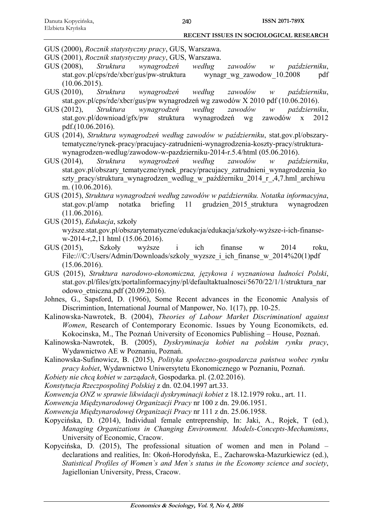GUS (2000), *Rocznik statystyczny pracy*, GUS, Warszawa.

GUS (2001), *Rocznik statystyczny pracy*, GUS, Warszawa.

- GUS (2008), *Struktura wynagrodzeń według zawodów w październiku*, stat.gov.pl/cps/rde/xbcr/gus/pw-struktura wynagr\_wg\_zawodow\_10.2008 pdf (10.06.2015).
- GUS (2010), *Struktura wynagrodzeń według zawodów w październiku*, stat.gov.pl/cps/rde/xbcr/gus/pw wynagrodzeń wg zawodów X 2010 pdf (10.06.2016).
- GUS (2012), *Struktura wynagrodzeń według zawodów w październiku*, stat.gov.pl/downioad/gfx/pw struktura wynagrodzeń wg zawodów x 2012 pdf.(10.06.2016).
- GUS (2014), *Struktura wynagrodzeń według zawodów w październiku*, stat.gov.pl/obszarytematyczne/rynek-pracy/pracujacy-zatrudnieni-wynagrodzenia-koszty-pracy/strukturawynagrodzen-wedlug/zawodow-w-pazdzierniku-2014-r.5.4/html (05.06.2016).
- GUS (2014), *Struktura wynagrodzeń według zawodów w październiku*, stat.gov.pl/obszary\_tematyczne/rynek\_pracy/pracujacy\_zatrudnieni\_wynagrodzenia\_ko szty pracy/struktura wynagrodzen wedlug w paźdźerniku 2014 r ,4,7.hml archiwu m. (10.06.2016).
- GUS (2015), *Struktura wynagrodzeń według zawodów w październiku. Notatka informacyjna*, stat.gov.pl/amp notatka briefing 11 grudzien\_2015\_struktura wynagrodzen (11.06.2016).
- GUS (2015), *Edukacja*, szkoły wyższe.stat.gov.pl/obszarytematyczne/edukacja/edukacja/szkoły-wyższe-i-ich-finansew-2014-r,2,11 html (15.06.2016).
- GUS (2015), Szkoły wyższe i ich finanse w 2014 roku, File:///C:/Users/Admin/Downloads/szkoly\_wyzsze\_i\_ich\_finanse\_w\_2014%20(1)pdf (15.06.2016).
- GUS (2015), *Struktura narodowo-ekonomiczna, językowa i wyznaniowa ludności Polski*, stat.gov.pl/files/gtx/portalinformacyjny/pl/defaultaktualnosci/5670/22/1/1/struktura\_nar odowo\_etniczna.pdf (20.09.2016).
- Johnes, G., Sapsford, D. (1966), Some Recent advances in the Economic Analysis of Discrimintion, International Journal of Manpower, No. 1(17), pp. 10-25.
- Kalinowska-Nawrotek, B. (2004), *Theories of Labour Market Discriminationl against Women*, Research of Contemporary Economic. Issues by Young Economikcts, ed. Kokocinska, M., The Poznań University of Economics Publishing – House, Poznań.
- Kalinowska-Nawrotek, B. (2005), *Dyskryminacja kobiet na polskim rynku pracy*, Wydawnictwo AE w Poznaniu, Poznań.
- Kalinowska-Sufinowicz, B. (2015), *Polityka społeczno-gospodarcza państwa wobec rynku pracy kobiet*, Wydawnictwo Uniwersytetu Ekonomicznego w Poznaniu, Poznań.
- *Kobiety nie chcą kobiet w zarządach*, Gospodarka. pl. (2.02.2016).
- *Konstytucja Rzeczpospolitej Polskiej* z dn. 02.04.1997 art.33.
- *Konwencja ONZ w sprawie likwidacji dyskryminacji kobiet* z 18.12.1979 roku., art. 11.
- *Konwencja Międzynarodowej Organizacji Pracy* nr 100 z dn. 29.06.1951.
- *Konwencja Międzynarodowej Organizacji Pracy* nr 111 z dn. 25.06.1958.
- Kopycińska, D. (2014), Individual female entreprenship, In: Jaki, A., Rojek, T (ed.), *Managing Organizations in Changing Environment. Models-Concepts-Mechamisms*, University of Economic, Cracow.
- Kopycińska, D. (2015), The professional situation of women and men in Poland declarations and realities, In: Okoń-Horodyńska, E., Zacharowska-Mazurkiewicz (ed.), *Statistical Profiles of Women`s and Men`s status in the Economy science and society*, Jagiellonian University, Press, Cracow.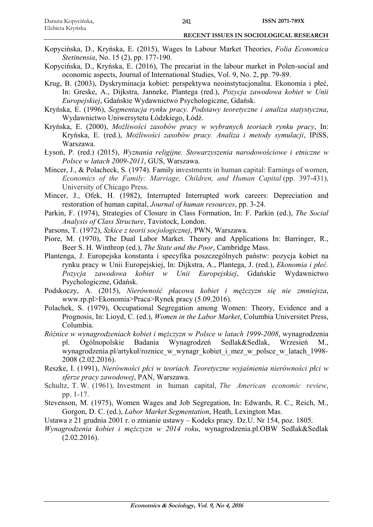- Kopycińska, D., Kryńska, E. (2015), Wages In Labour Market Theories, *Folia Economica Stetinensia*, No. 15 (2), pp. 177-190.
- Kopycińska, D., Kryńska, E. (2016), The precariat in the labour market in Polen-social and oconomic aspects, Journal of International Studies, Vol. 9, No. 2, pp. 79-89.
- Krug, B. (2003), Dyskryminacja kobiet: perspektywa neoinstytucjonalna. Ekonomia i płeć, In: Greske, A., Dijkstra, Janneke, Plantega (red.), *Pozycja zawodowa kobiet w Unii Europejskiej*, Gdańskie Wydawnictwo Psychologiczne, Gdańsk.
- Kryńska, E. (1996), *Segmentacja rynku pracy. Podstawy teoretyczne i analiza statystyczna*, Wydawnictwo Uniwersytetu Łódzkiego, Łódź.
- Kryńska, E. (2000), *Możliwości zasobów pracy w wybranych teoriach rynku pracy*, In: Kryńska, E. (red.), *Możliwości zasobów pracy. Analiza i metody symulacji*, IPiSS, Warszawa.
- Łysoń, P. (red.) (2015), *Wyznania religijne. Stowarzyszenia narodowościowe i etniczne w Polsce w latach 2009-2011*, GUS, Warszawa.
- Mincer, J., & Polacheck, S. (1974). Family investments in human capital: Earnings of women, *Economics of the Family: Marriage, Children, and Human Capital* (pp. 397-431), University of Chicago Press.
- Mincer, J., Ofek, H. (1982), Interrupted Interrupted work careers: Depreciation and restoration of human capital, *Journal of human resources*, pp. 3-24.
- Parkin, F. (1974), Strategies of Closure in Class Formation, In: F. Parkin (ed.), *The Social Analysis of Class Structure*, Tavistock, London.
- Parsons, T. (1972), *Szkice z teorii socjologicznej*, PWN, Warszawa.
- Piore, M. (1970), The Dual Labor Market. Theory and Applications In: Barringer, R., Beer S. H. Winthrop (ed.), *The State and the Poor*, Cambridge Mass.
- Plantenga, J. Europejska konstanta i specyfika poszczególnych państw: pozycja kobiet na rynku pracy w Unii Europejskiej, In: Dijkstra, A., Plantega, J. (red.), *Ekonomia i płeć. Pozycja zawodowa kobiet w Unii Europejskiej*, Gdańskie Wydawnictwo Psychologiczne, Gdańsk.
- Podskoczy, A. (2015), *Nierówność płacowa kobiet i mężczyzn się nie zmniejsza*, www.rp.pl>Ekonomia>Praca>Rynek pracy (5.09.2016).
- Polachek, S. (1979), Occupational Segregation among Women: Theory, Evidence and a Prognosis, In: Lioyd, C. (ed.), *Women in the Labor Market*, Columbia Universitet Press, Columbia.
- *Różnice w wynagrodzeniach kobiet i mężczyzn w Polsce w latach 1999-2008*, wynagrodzenia pl. Ogólnopolskie Badania Wynagrodzeń Sedlak&Sedlak, Wrzesień M., wynagrodzenia.pl/artykuł/roznice\_w\_wynagr\_kobiet\_i\_mez\_w\_polsce\_w\_latach\_1998- 2008 (2.02.2016).
- Reszke, I. (1991), *Nierówności płci w teoriach. Teoretyczne wyjaśnienia nierówności płci w sferze pracy zawodowej*, PAN, Warszawa.
- Schultz, T. W. (1961), Investment in human capital, *The American economic review*, pp. 1-17.
- Stevenson, M. (1975), Women Wages and Job Segregation, In: Edwards, R. C., Reich, M., Gorgon, D. C. (ed.), *Labor Market Segmentation*, Heath, Lexington Mas.
- Ustawa z 21 grudnia 2001 r. o zmianie ustawy Kodeks pracy. Dz.U. Nr 154, poz. 1805.
- *Wynagrodzenia kobiet i mężczyzn w 2014 roku*, wynagrodzenia.pl.OBW Sedlak&Sedlak  $(2.02.2016).$